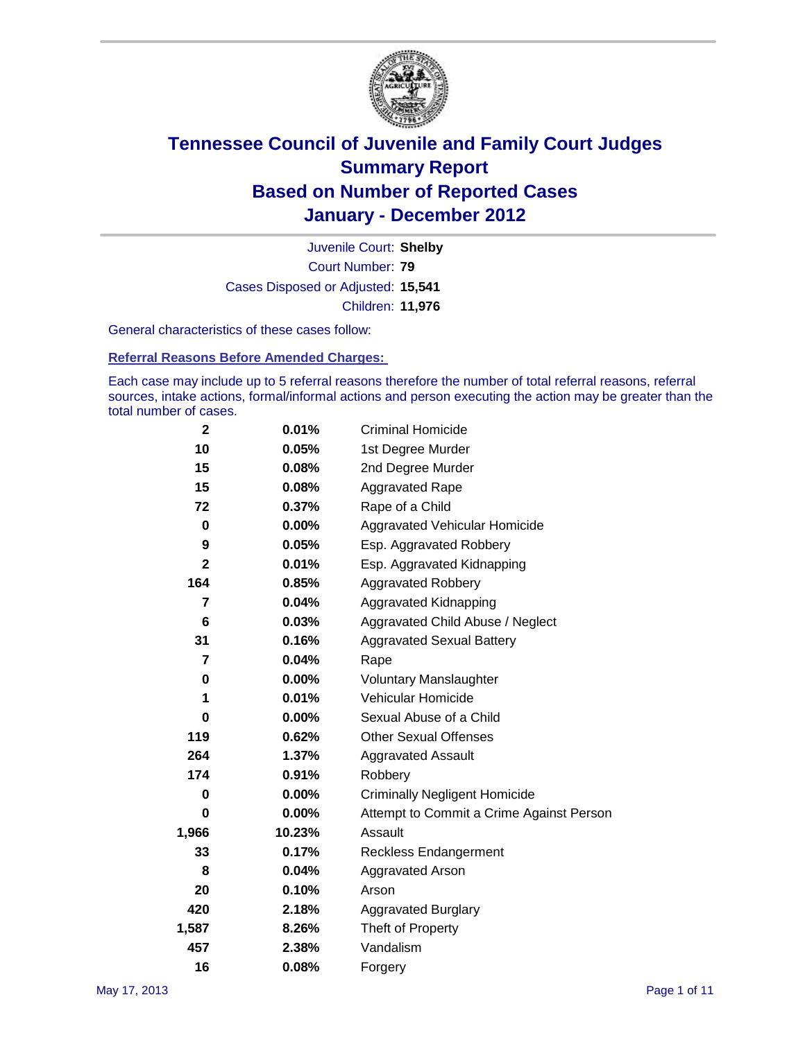

Court Number: **79** Juvenile Court: **Shelby** Cases Disposed or Adjusted: **15,541** Children: **11,976**

General characteristics of these cases follow:

**Referral Reasons Before Amended Charges:** 

Each case may include up to 5 referral reasons therefore the number of total referral reasons, referral sources, intake actions, formal/informal actions and person executing the action may be greater than the total number of cases.

| $\mathbf{2}$ | 0.01%  | <b>Criminal Homicide</b>                 |  |  |
|--------------|--------|------------------------------------------|--|--|
| 10           | 0.05%  | 1st Degree Murder                        |  |  |
| 15           | 0.08%  | 2nd Degree Murder                        |  |  |
| 15           | 0.08%  | <b>Aggravated Rape</b>                   |  |  |
| 72           | 0.37%  | Rape of a Child                          |  |  |
| $\pmb{0}$    | 0.00%  | Aggravated Vehicular Homicide            |  |  |
| 9            | 0.05%  | Esp. Aggravated Robbery                  |  |  |
| $\mathbf 2$  | 0.01%  | Esp. Aggravated Kidnapping               |  |  |
| 164          | 0.85%  | <b>Aggravated Robbery</b>                |  |  |
| 7            | 0.04%  | Aggravated Kidnapping                    |  |  |
| 6            | 0.03%  | Aggravated Child Abuse / Neglect         |  |  |
| 31           | 0.16%  | <b>Aggravated Sexual Battery</b>         |  |  |
| 7            | 0.04%  | Rape                                     |  |  |
| 0            | 0.00%  | <b>Voluntary Manslaughter</b>            |  |  |
| 1            | 0.01%  | Vehicular Homicide                       |  |  |
| 0            | 0.00%  | Sexual Abuse of a Child                  |  |  |
| 119          | 0.62%  | <b>Other Sexual Offenses</b>             |  |  |
| 264          | 1.37%  | <b>Aggravated Assault</b>                |  |  |
| 174          | 0.91%  | Robbery                                  |  |  |
| 0            | 0.00%  | <b>Criminally Negligent Homicide</b>     |  |  |
| 0            | 0.00%  | Attempt to Commit a Crime Against Person |  |  |
| 1,966        | 10.23% | Assault                                  |  |  |
| 33           | 0.17%  | <b>Reckless Endangerment</b>             |  |  |
| 8            | 0.04%  | <b>Aggravated Arson</b>                  |  |  |
| 20           | 0.10%  | Arson                                    |  |  |
| 420          | 2.18%  | <b>Aggravated Burglary</b>               |  |  |
| 1,587        | 8.26%  | Theft of Property                        |  |  |
| 457          | 2.38%  | Vandalism                                |  |  |
| 16           | 0.08%  | Forgery                                  |  |  |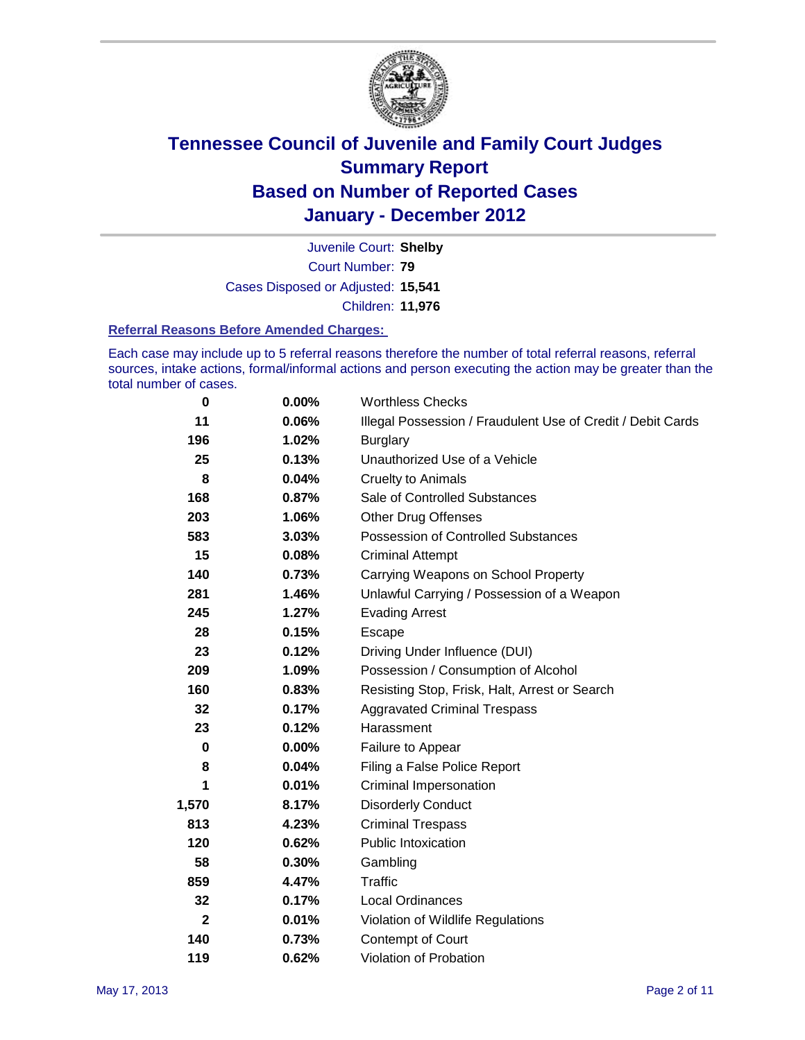

Court Number: **79** Juvenile Court: **Shelby** Cases Disposed or Adjusted: **15,541** Children: **11,976**

#### **Referral Reasons Before Amended Charges:**

Each case may include up to 5 referral reasons therefore the number of total referral reasons, referral sources, intake actions, formal/informal actions and person executing the action may be greater than the total number of cases.

| 0            | 0.00% | <b>Worthless Checks</b>                                     |
|--------------|-------|-------------------------------------------------------------|
| 11           | 0.06% | Illegal Possession / Fraudulent Use of Credit / Debit Cards |
| 196          | 1.02% | <b>Burglary</b>                                             |
| 25           | 0.13% | Unauthorized Use of a Vehicle                               |
| 8            | 0.04% | <b>Cruelty to Animals</b>                                   |
| 168          | 0.87% | Sale of Controlled Substances                               |
| 203          | 1.06% | <b>Other Drug Offenses</b>                                  |
| 583          | 3.03% | Possession of Controlled Substances                         |
| 15           | 0.08% | <b>Criminal Attempt</b>                                     |
| 140          | 0.73% | Carrying Weapons on School Property                         |
| 281          | 1.46% | Unlawful Carrying / Possession of a Weapon                  |
| 245          | 1.27% | <b>Evading Arrest</b>                                       |
| 28           | 0.15% | Escape                                                      |
| 23           | 0.12% | Driving Under Influence (DUI)                               |
| 209          | 1.09% | Possession / Consumption of Alcohol                         |
| 160          | 0.83% | Resisting Stop, Frisk, Halt, Arrest or Search               |
| 32           | 0.17% | <b>Aggravated Criminal Trespass</b>                         |
| 23           | 0.12% | Harassment                                                  |
| 0            | 0.00% | Failure to Appear                                           |
| 8            | 0.04% | Filing a False Police Report                                |
| 1            | 0.01% | <b>Criminal Impersonation</b>                               |
| 1,570        | 8.17% | <b>Disorderly Conduct</b>                                   |
| 813          | 4.23% | <b>Criminal Trespass</b>                                    |
| 120          | 0.62% | <b>Public Intoxication</b>                                  |
| 58           | 0.30% | Gambling                                                    |
| 859          | 4.47% | <b>Traffic</b>                                              |
| 32           | 0.17% | <b>Local Ordinances</b>                                     |
| $\mathbf{2}$ | 0.01% | Violation of Wildlife Regulations                           |
| 140          | 0.73% | Contempt of Court                                           |
| 119          | 0.62% | Violation of Probation                                      |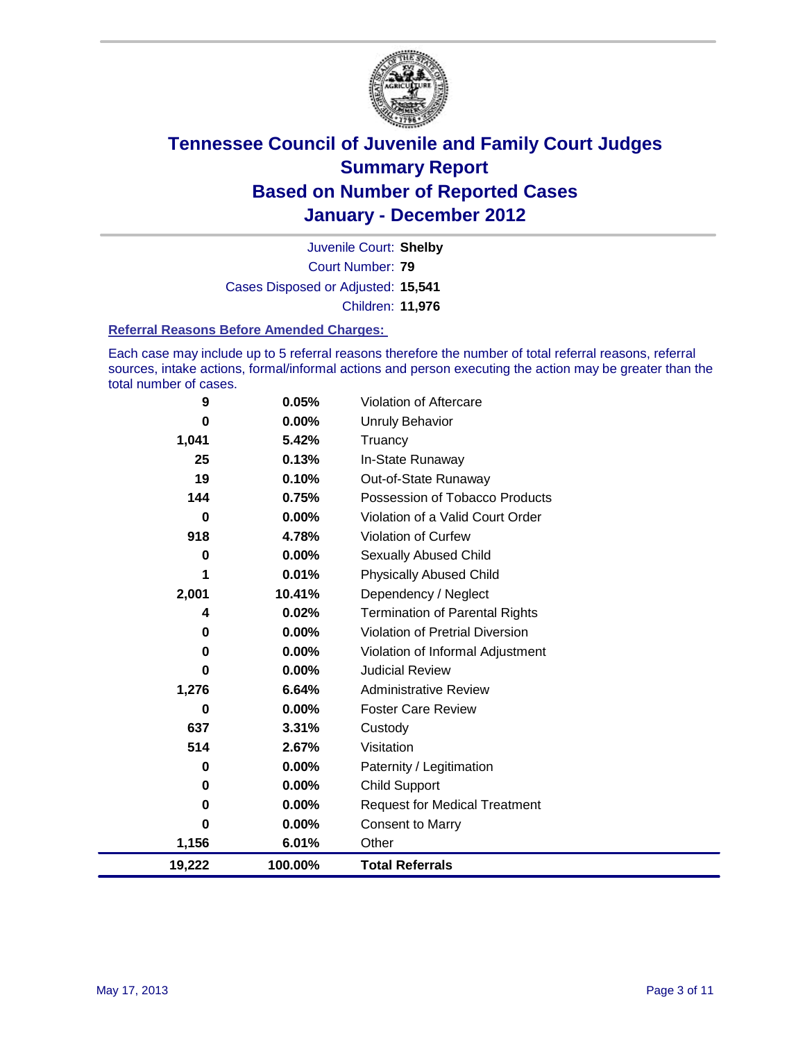

Court Number: **79** Juvenile Court: **Shelby** Cases Disposed or Adjusted: **15,541** Children: **11,976**

#### **Referral Reasons Before Amended Charges:**

Each case may include up to 5 referral reasons therefore the number of total referral reasons, referral sources, intake actions, formal/informal actions and person executing the action may be greater than the total number of cases.

| 9        | 0.05%    | Violation of Aftercare                 |
|----------|----------|----------------------------------------|
| 0        | 0.00%    | <b>Unruly Behavior</b>                 |
| 1,041    | 5.42%    | Truancy                                |
| 25       | 0.13%    | In-State Runaway                       |
| 19       | 0.10%    | Out-of-State Runaway                   |
| 144      | 0.75%    | Possession of Tobacco Products         |
| $\bf{0}$ | 0.00%    | Violation of a Valid Court Order       |
| 918      | 4.78%    | <b>Violation of Curfew</b>             |
| 0        | $0.00\%$ | <b>Sexually Abused Child</b>           |
| 1        | 0.01%    | <b>Physically Abused Child</b>         |
| 2,001    | 10.41%   | Dependency / Neglect                   |
| 4        | 0.02%    | <b>Termination of Parental Rights</b>  |
| 0        | 0.00%    | <b>Violation of Pretrial Diversion</b> |
| 0        | 0.00%    | Violation of Informal Adjustment       |
| 0        | $0.00\%$ | <b>Judicial Review</b>                 |
| 1,276    | 6.64%    | <b>Administrative Review</b>           |
| 0        | $0.00\%$ | <b>Foster Care Review</b>              |
| 637      | 3.31%    | Custody                                |
| 514      | 2.67%    | Visitation                             |
| 0        | $0.00\%$ | Paternity / Legitimation               |
| 0        | $0.00\%$ | <b>Child Support</b>                   |
| 0        | 0.00%    | <b>Request for Medical Treatment</b>   |
| 0        | $0.00\%$ | <b>Consent to Marry</b>                |
| 1,156    | 6.01%    | Other                                  |
| 19,222   | 100.00%  | <b>Total Referrals</b>                 |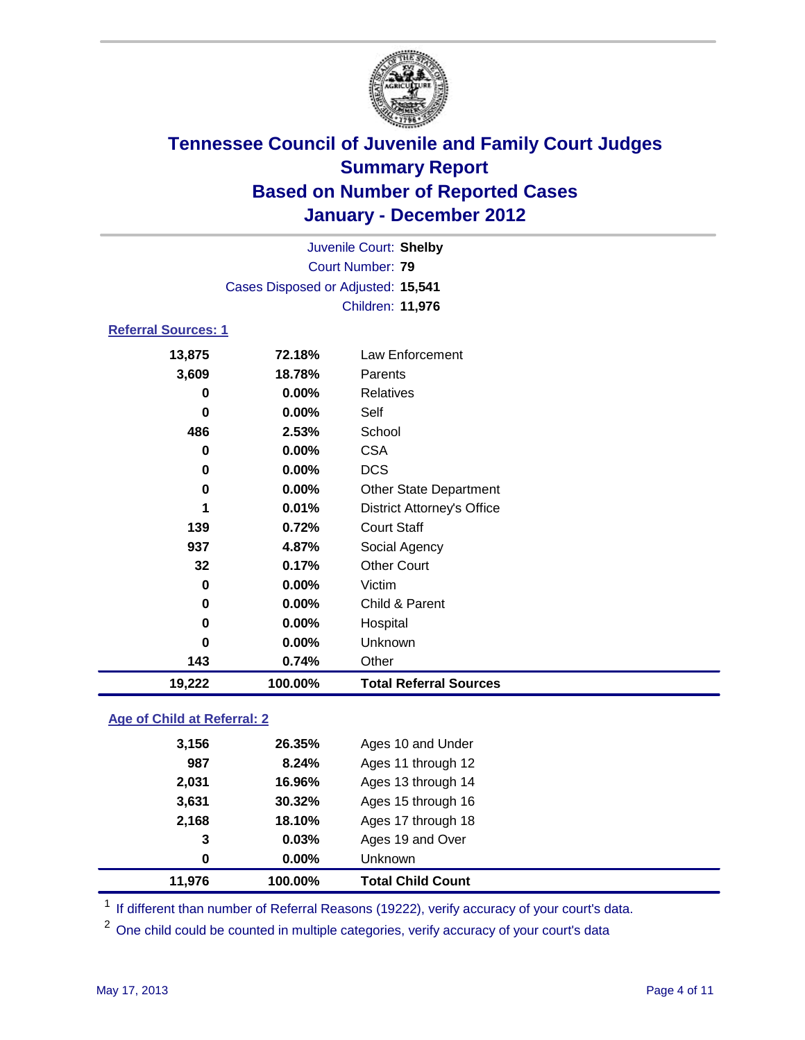

|                         | Juvenile Court: Shelby             |                                   |  |  |
|-------------------------|------------------------------------|-----------------------------------|--|--|
| <b>Court Number: 79</b> |                                    |                                   |  |  |
|                         | Cases Disposed or Adjusted: 15,541 |                                   |  |  |
|                         |                                    | Children: 11,976                  |  |  |
|                         | <b>Referral Sources: 1</b>         |                                   |  |  |
| 13,875                  | 72.18%                             | Law Enforcement                   |  |  |
| 3,609                   | 18.78%                             | Parents                           |  |  |
| 0                       | 0.00%                              | <b>Relatives</b>                  |  |  |
| 0                       | 0.00%                              | Self                              |  |  |
| 486                     | 2.53%                              | School                            |  |  |
| 0                       | 0.00%                              | <b>CSA</b>                        |  |  |
| 0                       | 0.00%                              | <b>DCS</b>                        |  |  |
| 0                       | 0.00%                              | Other State Department            |  |  |
| 1                       | 0.01%                              | <b>District Attorney's Office</b> |  |  |
| 139                     | 0.72%                              | <b>Court Staff</b>                |  |  |
| 937                     | 4.87%                              | Social Agency                     |  |  |
| 32                      | 0.17%                              | <b>Other Court</b>                |  |  |
| 0                       | 0.00%                              | Victim                            |  |  |
| 0                       | 0.00%                              | Child & Parent                    |  |  |
| 0                       | 0.00%                              | Hospital                          |  |  |
| 0                       | 0.00%                              | Unknown                           |  |  |
| 143                     | 0.74%                              | Other                             |  |  |
| 19,222                  | 100.00%                            | <b>Total Referral Sources</b>     |  |  |

### **Age of Child at Referral: 2**

| 11,976 | 100.00%  | <b>Total Child Count</b> |
|--------|----------|--------------------------|
| 0      | $0.00\%$ | <b>Unknown</b>           |
| 3      | 0.03%    | Ages 19 and Over         |
| 2,168  | 18.10%   | Ages 17 through 18       |
| 3,631  | 30.32%   | Ages 15 through 16       |
| 2,031  | 16.96%   | Ages 13 through 14       |
| 987    | 8.24%    | Ages 11 through 12       |
| 3,156  | 26.35%   | Ages 10 and Under        |
|        |          |                          |

<sup>1</sup> If different than number of Referral Reasons (19222), verify accuracy of your court's data.

<sup>2</sup> One child could be counted in multiple categories, verify accuracy of your court's data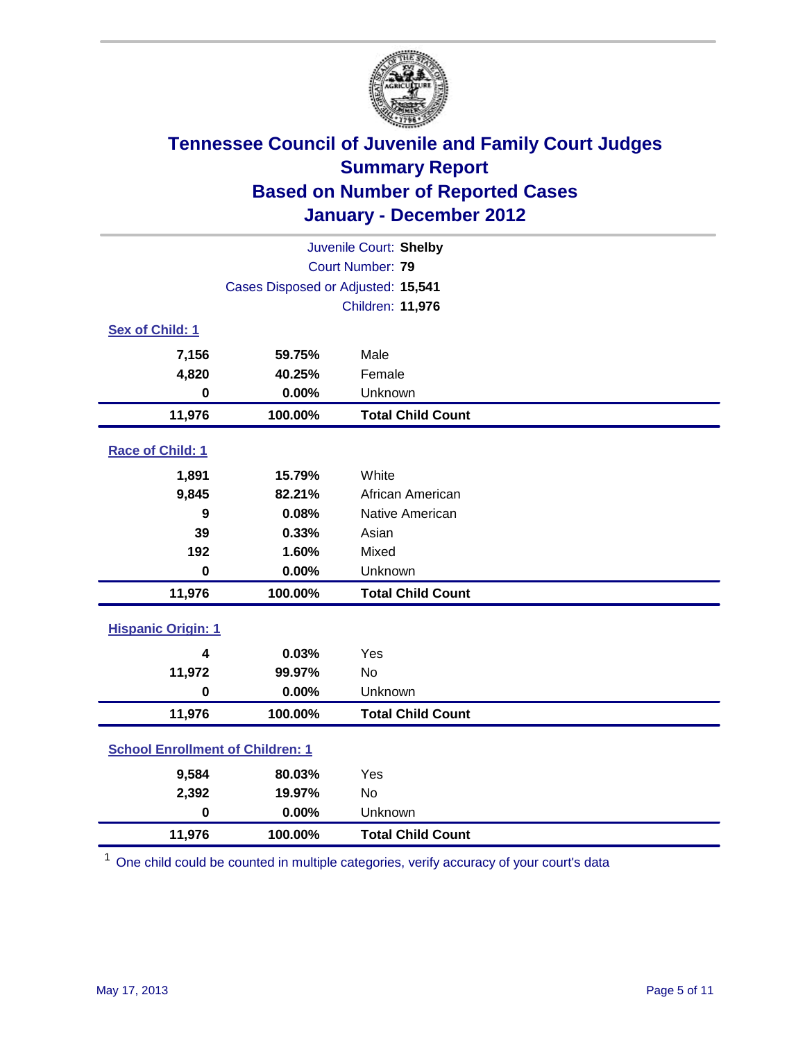

| Juvenile Court: Shelby                  |                                    |                          |  |  |
|-----------------------------------------|------------------------------------|--------------------------|--|--|
|                                         | Court Number: 79                   |                          |  |  |
|                                         | Cases Disposed or Adjusted: 15,541 |                          |  |  |
|                                         |                                    | Children: 11,976         |  |  |
| Sex of Child: 1                         |                                    |                          |  |  |
| 7,156                                   | 59.75%                             | Male                     |  |  |
| 4,820                                   | 40.25%                             | Female                   |  |  |
| $\bf{0}$                                | 0.00%                              | Unknown                  |  |  |
| 11,976                                  | 100.00%                            | <b>Total Child Count</b> |  |  |
| Race of Child: 1                        |                                    |                          |  |  |
| 1,891                                   | 15.79%                             | White                    |  |  |
| 9,845                                   | 82.21%                             | African American         |  |  |
| 9                                       | 0.08%                              | Native American          |  |  |
| 39                                      | 0.33%                              | Asian                    |  |  |
| 192                                     | 1.60%                              | Mixed                    |  |  |
| $\mathbf 0$                             | 0.00%                              | Unknown                  |  |  |
| 11,976                                  | 100.00%                            | <b>Total Child Count</b> |  |  |
| <b>Hispanic Origin: 1</b>               |                                    |                          |  |  |
| 4                                       | 0.03%                              | Yes                      |  |  |
| 11,972                                  | 99.97%                             | <b>No</b>                |  |  |
| $\mathbf 0$                             | 0.00%                              | Unknown                  |  |  |
| 11,976                                  | 100.00%                            | <b>Total Child Count</b> |  |  |
| <b>School Enrollment of Children: 1</b> |                                    |                          |  |  |
| 9,584                                   | 80.03%                             | Yes                      |  |  |
| 2,392                                   | 19.97%                             | No                       |  |  |
| $\mathbf 0$                             | 0.00%                              | Unknown                  |  |  |
| 11,976                                  | 100.00%                            | <b>Total Child Count</b> |  |  |

<sup>1</sup> One child could be counted in multiple categories, verify accuracy of your court's data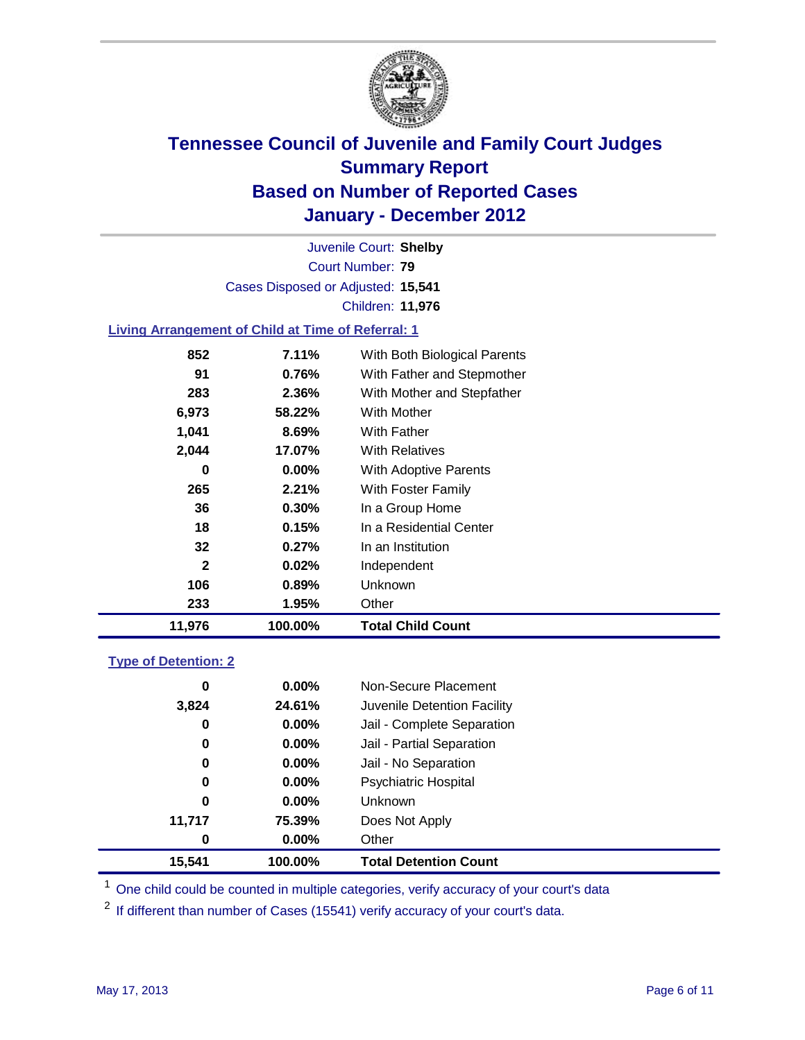

Court Number: **79** Juvenile Court: **Shelby** Cases Disposed or Adjusted: **15,541** Children: **11,976**

### **Living Arrangement of Child at Time of Referral: 1**

| 11,976       | 100.00%  | <b>Total Child Count</b>     |
|--------------|----------|------------------------------|
| 233          | 1.95%    | Other                        |
| 106          | 0.89%    | <b>Unknown</b>               |
| $\mathbf{2}$ | 0.02%    | Independent                  |
| 32           | 0.27%    | In an Institution            |
| 18           | 0.15%    | In a Residential Center      |
| 36           | 0.30%    | In a Group Home              |
| 265          | 2.21%    | With Foster Family           |
| 0            | $0.00\%$ | <b>With Adoptive Parents</b> |
| 2,044        | 17.07%   | <b>With Relatives</b>        |
| 1,041        | 8.69%    | <b>With Father</b>           |
| 6,973        | 58.22%   | With Mother                  |
| 283          | 2.36%    | With Mother and Stepfather   |
| 91           | 0.76%    | With Father and Stepmother   |
| 852          | $7.11\%$ | With Both Biological Parents |
|              |          |                              |

#### **Type of Detention: 2**

| 15,541   | 100.00%  | <b>Total Detention Count</b> |
|----------|----------|------------------------------|
| 0        | $0.00\%$ | Other                        |
| 11,717   | 75.39%   | Does Not Apply               |
| 0        | $0.00\%$ | <b>Unknown</b>               |
| 0        | $0.00\%$ | <b>Psychiatric Hospital</b>  |
| $\bf{0}$ | 0.00%    | Jail - No Separation         |
| 0        | $0.00\%$ | Jail - Partial Separation    |
| 0        | 0.00%    | Jail - Complete Separation   |
| 3,824    | 24.61%   | Juvenile Detention Facility  |
| 0        | $0.00\%$ | Non-Secure Placement         |
|          |          |                              |

<sup>1</sup> One child could be counted in multiple categories, verify accuracy of your court's data

 $2$  If different than number of Cases (15541) verify accuracy of your court's data.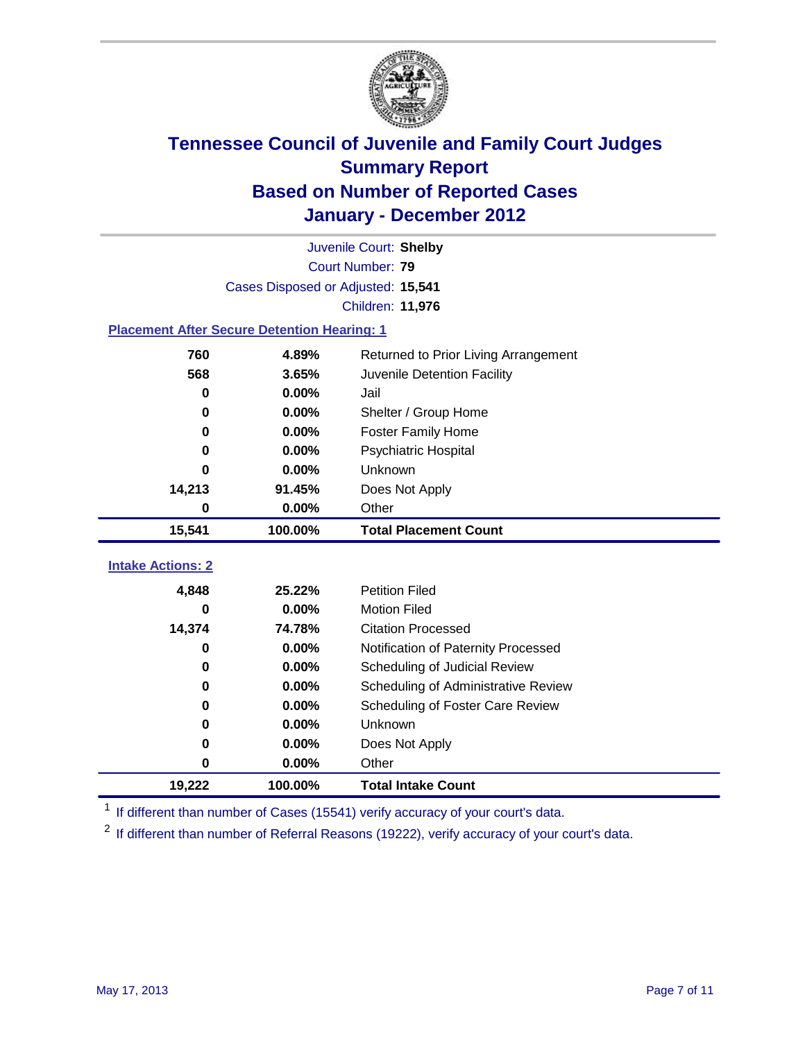

| Juvenile Court: Shelby                             |                                    |                                      |  |  |  |
|----------------------------------------------------|------------------------------------|--------------------------------------|--|--|--|
| Court Number: 79                                   |                                    |                                      |  |  |  |
|                                                    | Cases Disposed or Adjusted: 15,541 |                                      |  |  |  |
|                                                    |                                    | Children: 11,976                     |  |  |  |
| <b>Placement After Secure Detention Hearing: 1</b> |                                    |                                      |  |  |  |
| 760                                                | 4.89%                              | Returned to Prior Living Arrangement |  |  |  |
| 568                                                | 3.65%                              | Juvenile Detention Facility          |  |  |  |
| $\bf{0}$                                           | 0.00%                              | Jail                                 |  |  |  |
| 0                                                  | 0.00%                              | Shelter / Group Home                 |  |  |  |
| 0                                                  | 0.00%                              | Foster Family Home                   |  |  |  |
| 0                                                  | 0.00%                              | Psychiatric Hospital                 |  |  |  |
| 0                                                  | 0.00%                              | Unknown                              |  |  |  |
| 14,213                                             | 91.45%                             | Does Not Apply                       |  |  |  |
| 0                                                  | $0.00\%$                           | Other                                |  |  |  |
| 15,541                                             | 100.00%                            | <b>Total Placement Count</b>         |  |  |  |
|                                                    |                                    |                                      |  |  |  |
| <b>Intake Actions: 2</b>                           |                                    |                                      |  |  |  |
| 4,848                                              | 25.22%                             | <b>Petition Filed</b>                |  |  |  |
| 0                                                  | 0.00%                              | <b>Motion Filed</b>                  |  |  |  |
| 14,374                                             | 74.78%                             | <b>Citation Processed</b>            |  |  |  |
| 0                                                  | 0.00%                              | Notification of Paternity Processed  |  |  |  |
| 0                                                  | 0.00%                              | Scheduling of Judicial Review        |  |  |  |
| 0                                                  | 0.00%                              | Scheduling of Administrative Review  |  |  |  |
| 0                                                  | 0.00%                              | Scheduling of Foster Care Review     |  |  |  |
| $\bf{0}$                                           | 0.00%                              | Unknown                              |  |  |  |
| 0                                                  | 0.00%                              | Does Not Apply                       |  |  |  |
| $\pmb{0}$                                          | 0.00%                              | Other                                |  |  |  |
| 19,222                                             | 100.00%                            | <b>Total Intake Count</b>            |  |  |  |

<sup>1</sup> If different than number of Cases (15541) verify accuracy of your court's data.

<sup>2</sup> If different than number of Referral Reasons (19222), verify accuracy of your court's data.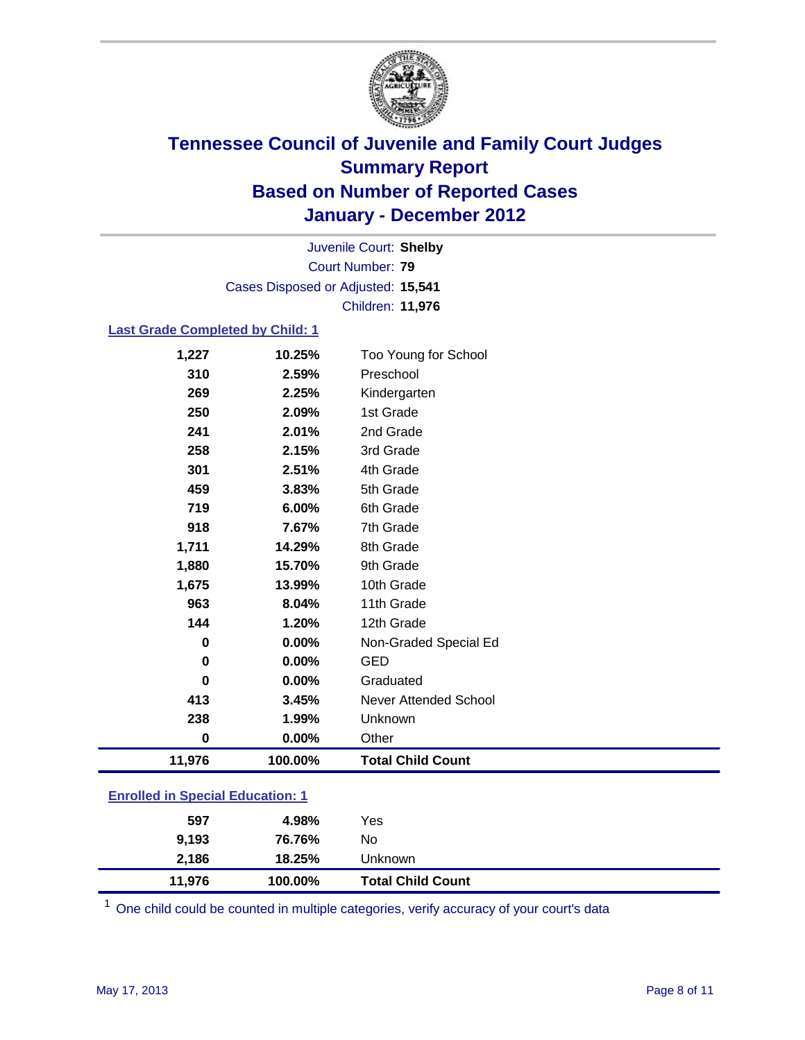

Court Number: **79** Juvenile Court: **Shelby** Cases Disposed or Adjusted: **15,541** Children: **11,976**

#### **Last Grade Completed by Child: 1**

| 1,227                                   | 10.25%  | Too Young for School     |  |
|-----------------------------------------|---------|--------------------------|--|
| 310                                     | 2.59%   | Preschool                |  |
| 269                                     | 2.25%   | Kindergarten             |  |
| 250                                     | 2.09%   | 1st Grade                |  |
| 241                                     | 2.01%   | 2nd Grade                |  |
| 258                                     | 2.15%   | 3rd Grade                |  |
| 301                                     | 2.51%   | 4th Grade                |  |
| 459                                     | 3.83%   | 5th Grade                |  |
| 719                                     | 6.00%   | 6th Grade                |  |
| 918                                     | 7.67%   | 7th Grade                |  |
| 1,711                                   | 14.29%  | 8th Grade                |  |
| 1,880                                   | 15.70%  | 9th Grade                |  |
| 1,675                                   | 13.99%  | 10th Grade               |  |
| 963                                     | 8.04%   | 11th Grade               |  |
| 144                                     | 1.20%   | 12th Grade               |  |
| 0                                       | 0.00%   | Non-Graded Special Ed    |  |
| 0                                       | 0.00%   | <b>GED</b>               |  |
| $\bf{0}$                                | 0.00%   | Graduated                |  |
| 413                                     | 3.45%   | Never Attended School    |  |
| 238                                     | 1.99%   | Unknown                  |  |
| $\pmb{0}$                               | 0.00%   | Other                    |  |
| 11,976                                  | 100.00% | <b>Total Child Count</b> |  |
| <b>Enrolled in Special Education: 1</b> |         |                          |  |

| 11,976 | 100.00% | <b>Total Child Count</b> |
|--------|---------|--------------------------|
| 2,186  | 18.25%  | Unknown                  |
| 9,193  | 76.76%  | No                       |
| 597    | 4.98%   | Yes                      |
|        |         |                          |

 $1$  One child could be counted in multiple categories, verify accuracy of your court's data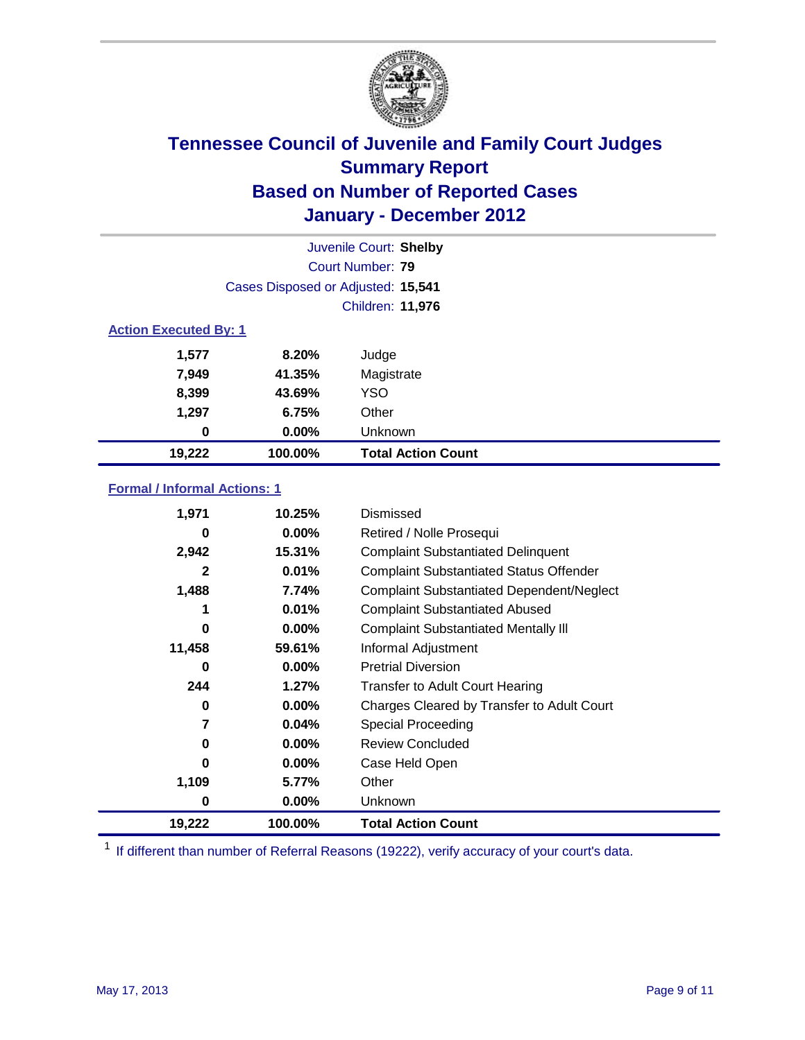

|                              | Juvenile Court: Shelby             |                           |  |  |
|------------------------------|------------------------------------|---------------------------|--|--|
|                              |                                    | Court Number: 79          |  |  |
|                              | Cases Disposed or Adjusted: 15,541 |                           |  |  |
|                              | Children: 11,976                   |                           |  |  |
| <b>Action Executed By: 1</b> |                                    |                           |  |  |
| 1,577                        | 8.20%                              | Judge                     |  |  |
| 7,949                        | 41.35%                             | Magistrate                |  |  |
| 8,399                        | 43.69%                             | <b>YSO</b>                |  |  |
| 1,297                        | 6.75%                              | Other                     |  |  |
| 0                            | $0.00\%$                           | Unknown                   |  |  |
| 19,222                       | 100.00%                            | <b>Total Action Count</b> |  |  |

### **Formal / Informal Actions: 1**

| 1,971  | 10.25%   | Dismissed                                        |
|--------|----------|--------------------------------------------------|
| 0      | $0.00\%$ | Retired / Nolle Prosequi                         |
| 2,942  | 15.31%   | <b>Complaint Substantiated Delinquent</b>        |
| 2      | 0.01%    | <b>Complaint Substantiated Status Offender</b>   |
| 1,488  | 7.74%    | <b>Complaint Substantiated Dependent/Neglect</b> |
| 1      | 0.01%    | <b>Complaint Substantiated Abused</b>            |
| 0      | $0.00\%$ | <b>Complaint Substantiated Mentally III</b>      |
| 11,458 | 59.61%   | Informal Adjustment                              |
| 0      | $0.00\%$ | <b>Pretrial Diversion</b>                        |
| 244    | 1.27%    | <b>Transfer to Adult Court Hearing</b>           |
| 0      | $0.00\%$ | Charges Cleared by Transfer to Adult Court       |
| 7      | 0.04%    | Special Proceeding                               |
| 0      | $0.00\%$ | <b>Review Concluded</b>                          |
| 0      | 0.00%    | Case Held Open                                   |
| 1,109  | 5.77%    | Other                                            |
| 0      | $0.00\%$ | Unknown                                          |
| 19,222 | 100.00%  | Total Action Count                               |

<sup>1</sup> If different than number of Referral Reasons (19222), verify accuracy of your court's data.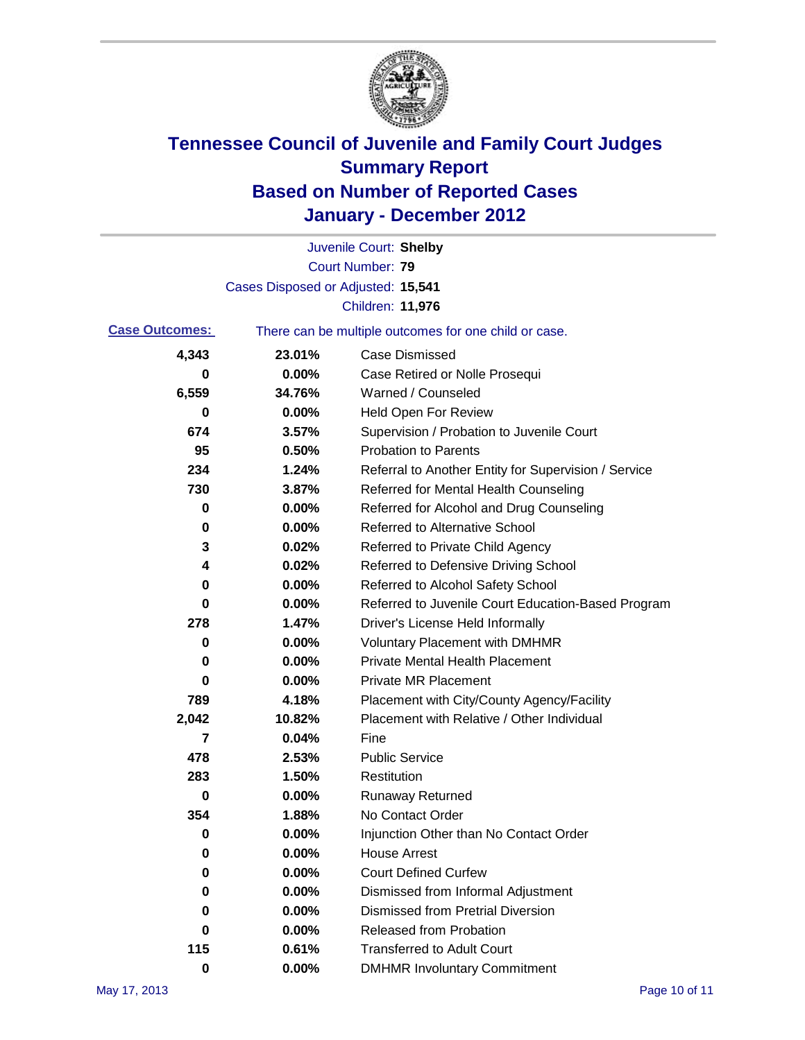

|                       |                                    | Juvenile Court: Shelby                                |
|-----------------------|------------------------------------|-------------------------------------------------------|
|                       |                                    | Court Number: 79                                      |
|                       | Cases Disposed or Adjusted: 15,541 |                                                       |
|                       |                                    | <b>Children: 11,976</b>                               |
| <b>Case Outcomes:</b> |                                    | There can be multiple outcomes for one child or case. |
| 4,343                 | 23.01%                             | <b>Case Dismissed</b>                                 |
| 0                     | 0.00%                              | Case Retired or Nolle Prosequi                        |
| 6,559                 | 34.76%                             | Warned / Counseled                                    |
| 0                     | 0.00%                              | Held Open For Review                                  |
| 674                   | 3.57%                              | Supervision / Probation to Juvenile Court             |
| 95                    | 0.50%                              | <b>Probation to Parents</b>                           |
| 234                   | 1.24%                              | Referral to Another Entity for Supervision / Service  |
| 730                   | 3.87%                              | Referred for Mental Health Counseling                 |
| 0                     | 0.00%                              | Referred for Alcohol and Drug Counseling              |
| 0                     | 0.00%                              | <b>Referred to Alternative School</b>                 |
| 3                     | 0.02%                              | Referred to Private Child Agency                      |
| 4                     | 0.02%                              | Referred to Defensive Driving School                  |
| 0                     | 0.00%                              | Referred to Alcohol Safety School                     |
| 0                     | 0.00%                              | Referred to Juvenile Court Education-Based Program    |
| 278                   | 1.47%                              | Driver's License Held Informally                      |
| 0                     | 0.00%                              | <b>Voluntary Placement with DMHMR</b>                 |
| 0                     | 0.00%                              | <b>Private Mental Health Placement</b>                |
| 0                     | 0.00%                              | <b>Private MR Placement</b>                           |
| 789                   | 4.18%                              | Placement with City/County Agency/Facility            |
| 2,042                 | 10.82%                             | Placement with Relative / Other Individual            |
| 7                     | 0.04%                              | Fine                                                  |
| 478                   | 2.53%                              | <b>Public Service</b>                                 |
| 283                   | 1.50%                              | Restitution                                           |
| 0                     | 0.00%                              | Runaway Returned                                      |
| 354                   | 1.88%                              | No Contact Order                                      |
| 0                     | 0.00%                              | Injunction Other than No Contact Order                |
| 0                     | 0.00%                              | <b>House Arrest</b>                                   |
| 0                     | 0.00%                              | <b>Court Defined Curfew</b>                           |
| 0                     | 0.00%                              | Dismissed from Informal Adjustment                    |
| 0                     | 0.00%                              | <b>Dismissed from Pretrial Diversion</b>              |
| 0                     | 0.00%                              | Released from Probation                               |
| 115                   | 0.61%                              | <b>Transferred to Adult Court</b>                     |
| $\pmb{0}$             | $0.00\%$                           | <b>DMHMR Involuntary Commitment</b>                   |